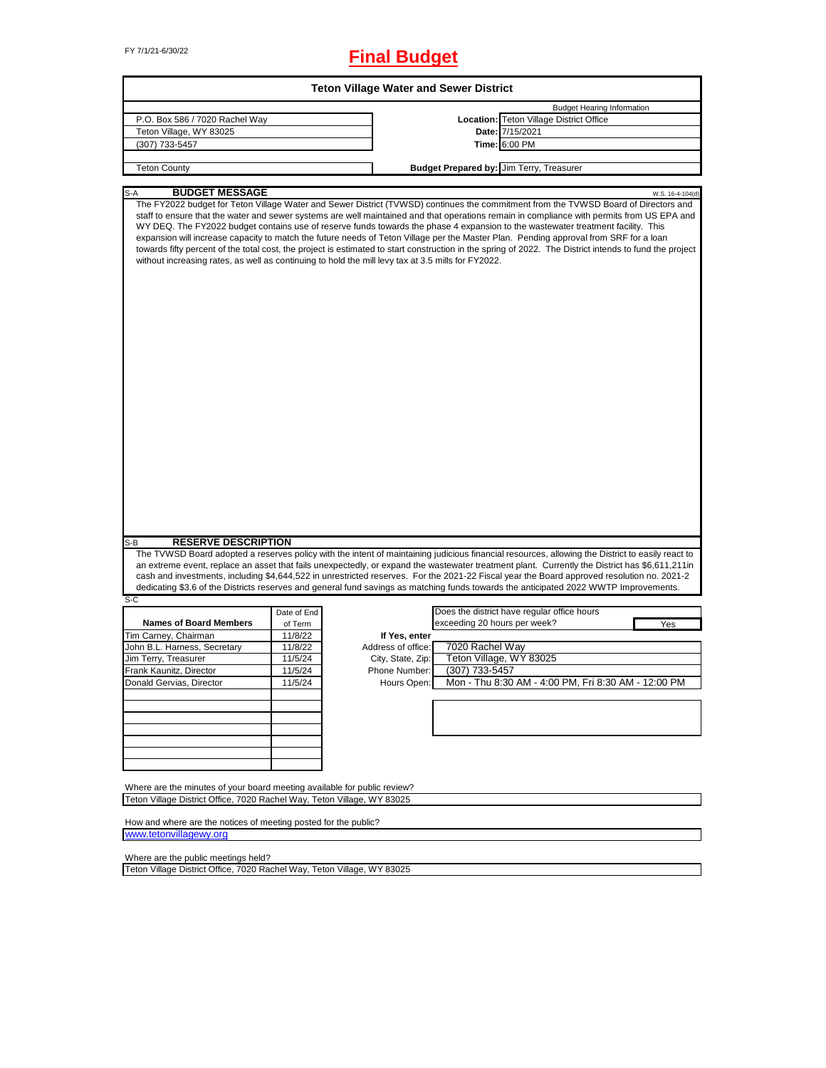# FY 7/1/21-6/30/22 **Final Budget**

|                                                                                                                                                                                                                                                                                                                                                                                                                                                                                                                                                                                                                                                                                                                                                                                                                                        |             | <b>Teton Village Water and Sewer District</b> |                              |                                                     |                  |
|----------------------------------------------------------------------------------------------------------------------------------------------------------------------------------------------------------------------------------------------------------------------------------------------------------------------------------------------------------------------------------------------------------------------------------------------------------------------------------------------------------------------------------------------------------------------------------------------------------------------------------------------------------------------------------------------------------------------------------------------------------------------------------------------------------------------------------------|-------------|-----------------------------------------------|------------------------------|-----------------------------------------------------|------------------|
|                                                                                                                                                                                                                                                                                                                                                                                                                                                                                                                                                                                                                                                                                                                                                                                                                                        |             |                                               |                              | <b>Budget Hearing Information</b>                   |                  |
| P.O. Box 586 / 7020 Rachel Way                                                                                                                                                                                                                                                                                                                                                                                                                                                                                                                                                                                                                                                                                                                                                                                                         |             |                                               |                              | Location: Teton Village District Office             |                  |
| Teton Village, WY 83025                                                                                                                                                                                                                                                                                                                                                                                                                                                                                                                                                                                                                                                                                                                                                                                                                |             |                                               |                              | Date: 7/15/2021                                     |                  |
| (307) 733-5457                                                                                                                                                                                                                                                                                                                                                                                                                                                                                                                                                                                                                                                                                                                                                                                                                         |             |                                               |                              | Time: 6:00 PM                                       |                  |
|                                                                                                                                                                                                                                                                                                                                                                                                                                                                                                                                                                                                                                                                                                                                                                                                                                        |             |                                               |                              |                                                     |                  |
| <b>Teton County</b>                                                                                                                                                                                                                                                                                                                                                                                                                                                                                                                                                                                                                                                                                                                                                                                                                    |             |                                               |                              | <b>Budget Prepared by: Jim Terry, Treasurer</b>     |                  |
| <b>BUDGET MESSAGE</b>                                                                                                                                                                                                                                                                                                                                                                                                                                                                                                                                                                                                                                                                                                                                                                                                                  |             |                                               |                              |                                                     |                  |
| S-A<br>The FY2022 budget for Teton Village Water and Sewer District (TVWSD) continues the commitment from the TVWSD Board of Directors and<br>staff to ensure that the water and sewer systems are well maintained and that operations remain in compliance with permits from US EPA and<br>WY DEQ. The FY2022 budget contains use of reserve funds towards the phase 4 expansion to the wastewater treatment facility. This<br>expansion will increase capacity to match the future needs of Teton Village per the Master Plan. Pending approval from SRF for a loan<br>towards fifty percent of the total cost, the project is estimated to start construction in the spring of 2022. The District intends to fund the project<br>without increasing rates, as well as continuing to hold the mill levy tax at 3.5 mills for FY2022. |             |                                               |                              |                                                     | W.S. 16-4-104(d) |
| <b>RESERVE DESCRIPTION</b><br>S-B                                                                                                                                                                                                                                                                                                                                                                                                                                                                                                                                                                                                                                                                                                                                                                                                      |             |                                               |                              |                                                     |                  |
| The TVWSD Board adopted a reserves policy with the intent of maintaining judicious financial resources, allowing the District to easily react to<br>an extreme event, replace an asset that fails unexpectedly, or expand the wastewater treatment plant. Currently the District has \$6,611,211in<br>cash and investments, including \$4,644,522 in unrestricted reserves. For the 2021-22 Fiscal year the Board approved resolution no. 2021-2<br>dedicating \$3.6 of the Districts reserves and general fund savings as matching funds towards the anticipated 2022 WWTP Improvements.<br>$S-C$                                                                                                                                                                                                                                     |             |                                               |                              |                                                     |                  |
|                                                                                                                                                                                                                                                                                                                                                                                                                                                                                                                                                                                                                                                                                                                                                                                                                                        | Date of End |                                               |                              | Does the district have regular office hours         |                  |
| <b>Names of Board Members</b>                                                                                                                                                                                                                                                                                                                                                                                                                                                                                                                                                                                                                                                                                                                                                                                                          | of Term     |                                               | exceeding 20 hours per week? |                                                     | Yes              |
| Tim Carney, Chairman                                                                                                                                                                                                                                                                                                                                                                                                                                                                                                                                                                                                                                                                                                                                                                                                                   | 11/8/22     | If Yes, enter                                 |                              |                                                     |                  |
| John B.L. Harness, Secretary                                                                                                                                                                                                                                                                                                                                                                                                                                                                                                                                                                                                                                                                                                                                                                                                           | 11/8/22     | Address of office:                            | 7020 Rachel Way              |                                                     |                  |
| Jim Terry, Treasurer                                                                                                                                                                                                                                                                                                                                                                                                                                                                                                                                                                                                                                                                                                                                                                                                                   | 11/5/24     | City, State, Zip:                             |                              | Teton Village, WY 83025                             |                  |
| Frank Kaunitz, Director                                                                                                                                                                                                                                                                                                                                                                                                                                                                                                                                                                                                                                                                                                                                                                                                                | 11/5/24     | Phone Number:                                 | (307) 733-5457               |                                                     |                  |
| Donald Gervias, Director                                                                                                                                                                                                                                                                                                                                                                                                                                                                                                                                                                                                                                                                                                                                                                                                               | 11/5/24     | Hours Open:                                   |                              | Mon - Thu 8:30 AM - 4:00 PM, Fri 8:30 AM - 12:00 PM |                  |
|                                                                                                                                                                                                                                                                                                                                                                                                                                                                                                                                                                                                                                                                                                                                                                                                                                        |             |                                               |                              |                                                     |                  |
| Where are the minutes of your board meeting available for public review?<br>Teton Village District Office, 7020 Rachel Way, Teton Village, WY 83025<br>How and where are the notices of meeting posted for the public?                                                                                                                                                                                                                                                                                                                                                                                                                                                                                                                                                                                                                 |             |                                               |                              |                                                     |                  |
| www.tetonvillagewy.org                                                                                                                                                                                                                                                                                                                                                                                                                                                                                                                                                                                                                                                                                                                                                                                                                 |             |                                               |                              |                                                     |                  |

Where are the public meetings held?

Teton Village District Office, 7020 Rachel Way, Teton Village, WY 83025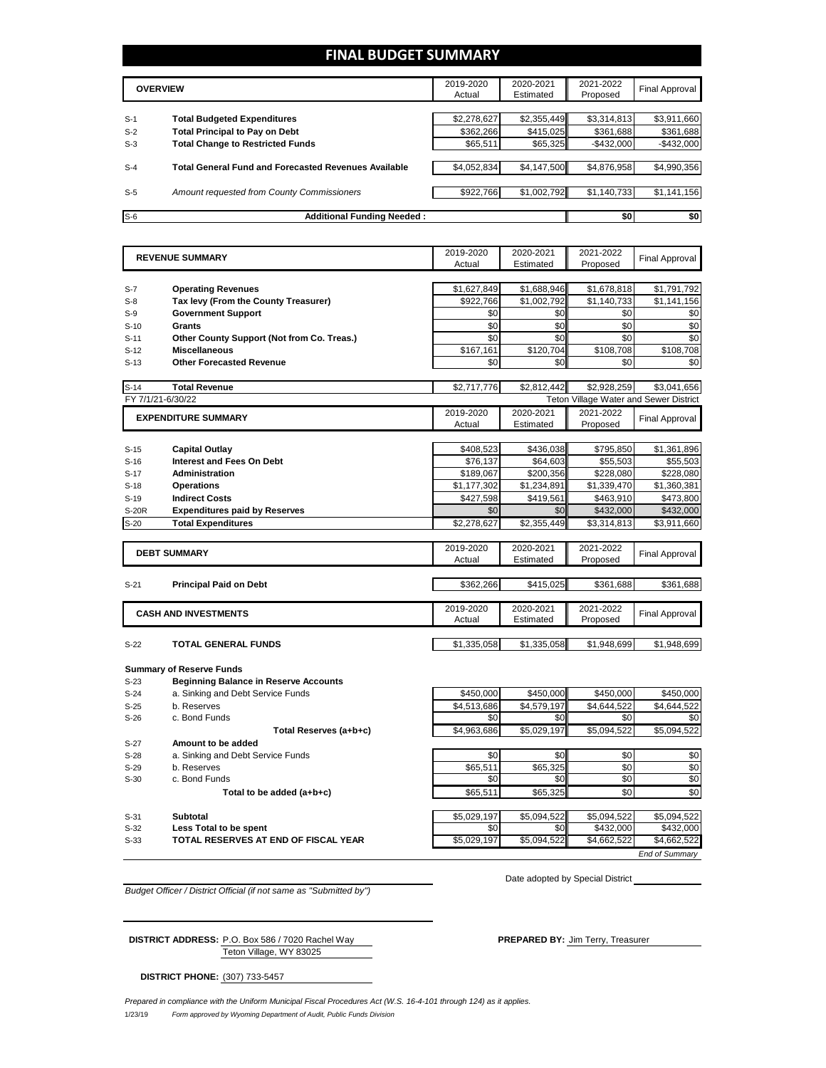### **FINAL BUDGET SUMMARY**

|       | <b>OVERVIEW</b>                                             | 2019-2020<br>Actual | 2020-2021<br>Estimated | 2021-2022<br>Proposed | <b>Final Approval</b> |
|-------|-------------------------------------------------------------|---------------------|------------------------|-----------------------|-----------------------|
|       |                                                             |                     |                        |                       |                       |
| $S-1$ | <b>Total Budgeted Expenditures</b>                          | \$2,278,627         | \$2,355,449            | \$3,314,813           | \$3,911,660           |
| $S-2$ | <b>Total Principal to Pay on Debt</b>                       | \$362.266           | \$415.025              | \$361,688             | \$361,688             |
| $S-3$ | <b>Total Change to Restricted Funds</b>                     | \$65,511            | \$65,325               | $-$ \$432,000         | $-$432,000$           |
|       |                                                             |                     |                        |                       |                       |
| $S-4$ | <b>Total General Fund and Forecasted Revenues Available</b> | \$4,052,834         | \$4,147,500            | \$4,876,958           | \$4,990,356           |
|       |                                                             |                     |                        |                       |                       |
| $S-5$ | Amount requested from County Commissioners                  | \$922,766           | \$1,002,792            | \$1,140,733           | \$1,141,156           |
|       |                                                             |                     |                        |                       |                       |
| $S-6$ | <b>Additional Funding Needed:</b>                           |                     |                        | \$0                   | \$0                   |

|              | <b>REVENUE SUMMARY</b>                       | 2019-2020           | 2020-2021              | 2021-2022                              | <b>Final Approval</b> |
|--------------|----------------------------------------------|---------------------|------------------------|----------------------------------------|-----------------------|
|              |                                              | Actual              | Estimated              | Proposed                               |                       |
|              |                                              |                     |                        |                                        |                       |
| $S-7$        | <b>Operating Revenues</b>                    | \$1,627,849         | \$1,688,946            | \$1,678,818                            | \$1,791,792           |
| $S-8$        | Tax levy (From the County Treasurer)         | \$922,766           | \$1,002,792            | \$1,140,733                            | \$1,141,156           |
| $S-9$        | <b>Government Support</b>                    | \$0                 | \$0                    | \$0                                    | \$0                   |
| $S-10$       | <b>Grants</b>                                | \$0                 | \$0                    | \$0                                    | \$0                   |
| $S-11$       | Other County Support (Not from Co. Treas.)   | \$0                 | \$0                    | \$0                                    | \$0                   |
| $S-12$       | <b>Miscellaneous</b>                         | \$167,161           | \$120,704              | \$108,708                              | \$108,708             |
| $S-13$       | <b>Other Forecasted Revenue</b>              | \$0                 | \$0                    | \$0                                    | \$0                   |
|              |                                              |                     |                        |                                        |                       |
| $S-14$       | <b>Total Revenue</b>                         | \$2,717,776         | \$2,812,442            | \$2,928,259                            | \$3,041,656           |
|              | FY 7/1/21-6/30/22                            |                     |                        | Teton Village Water and Sewer District |                       |
|              | <b>EXPENDITURE SUMMARY</b>                   | 2019-2020           | 2020-2021              | 2021-2022                              | Final Approval        |
|              |                                              | Actual              | Estimated              | Proposed                               |                       |
|              |                                              |                     |                        |                                        |                       |
| $S-15$       | <b>Capital Outlay</b>                        | \$408,523           | \$436,038              | \$795,850                              | \$1,361,896           |
| $S-16$       | Interest and Fees On Debt                    | \$76,137            | \$64,603               | \$55,503                               | \$55,503              |
| $S-17$       | Administration                               | \$189,067           | \$200,356              | \$228,080                              | \$228,080             |
| $S-18$       | <b>Operations</b>                            | \$1,177,302         | \$1,234,891            | \$1,339,470                            | \$1,360,381           |
| $S-19$       | <b>Indirect Costs</b>                        | \$427,598           | \$419,561              | \$463,910                              | \$473,800             |
| <b>S-20R</b> | <b>Expenditures paid by Reserves</b>         | \$0                 | \$0                    | \$432,000                              | \$432,000             |
| $S-20$       | <b>Total Expenditures</b>                    | \$2,278,627         | \$2,355,449            | \$3,314,813                            | \$3,911,660           |
|              |                                              |                     |                        |                                        |                       |
|              | <b>DEBT SUMMARY</b>                          | 2019-2020           | 2020-2021              | 2021-2022                              | Final Approval        |
|              |                                              | Actual              | Estimated              | Proposed                               |                       |
|              |                                              |                     |                        |                                        |                       |
| $S-21$       | <b>Principal Paid on Debt</b>                | \$362,266           | \$415,025              | \$361,688                              | \$361,688             |
|              |                                              |                     |                        |                                        |                       |
|              | <b>CASH AND INVESTMENTS</b>                  | 2019-2020<br>Actual | 2020-2021<br>Estimated | 2021-2022<br>Proposed                  | Final Approval        |
|              |                                              |                     |                        |                                        |                       |
| $S-22$       | <b>TOTAL GENERAL FUNDS</b>                   | \$1,335,058         | \$1,335,058            | \$1,948,699                            | \$1,948,699           |
|              |                                              |                     |                        |                                        |                       |
|              | <b>Summary of Reserve Funds</b>              |                     |                        |                                        |                       |
| $S-23$       | <b>Beginning Balance in Reserve Accounts</b> |                     |                        |                                        |                       |
| $S-24$       | a. Sinking and Debt Service Funds            | \$450,000           | \$450,000              | \$450,000                              | \$450,000             |
| $S-25$       | b. Reserves                                  | \$4,513,686         | \$4,579,197            | \$4,644,522                            | \$4,644,522           |
|              |                                              |                     |                        |                                        |                       |

 $S-26$  c. Bond Funds  $S0$   $S0$   $S0$   $S0$   $S0$   $S0$ **Total Reserves (a+b+c)** \$4,963,686 \$5,029,197 \$5,094,522 \$5,094,522 S-27 **Amount to be added**  S-28 a. Sinking and Debt Service Funds \$0 \$0 \$0 \$0 S-29 b. Reserves \$65,511 | \$65,325 || \$0 | \$0  $\begin{array}{|c|c|c|c|c|c|}\n\hline\nS-30 & C. & Bond Funds & \multicolumn{2}{c|}{50} & S0 & S0 & S0 & S0\n\end{array}$ 

**Total to be added (a+b+c) 665,511** \$65,325 **\$0** \$0 S-31 **Subtotal \$5,094,522 \$5,094,522 \$5,094,522 \$5,094,522 \$5,094,522 \$5,094,522** S-32 **Less Total to be spent** \$0 \$0 \$432,000 \$432,000 S-33 **TOTAL RESERVES AT END OF FISCAL YEAR \$5,029,197** \$5,094,522 \$4,662,522 \$4,662,522 *End of Summary*

*Budget Officer / District Official (if not same as "Submitted by")*

Date adopted by Special District

Teton Village, WY 83025 **DISTRICT ADDRESS:** P.O. Box 586 / 7020 Rachel Way **PREPARED BY:** Jim Terry, Treasurer

**DISTRICT PHONE:** (307) 733-5457

1/23/19 *Form approved by Wyoming Department of Audit, Public Funds Division Prepared in compliance with the Uniform Municipal Fiscal Procedures Act (W.S. 16-4-101 through 124) as it applies.*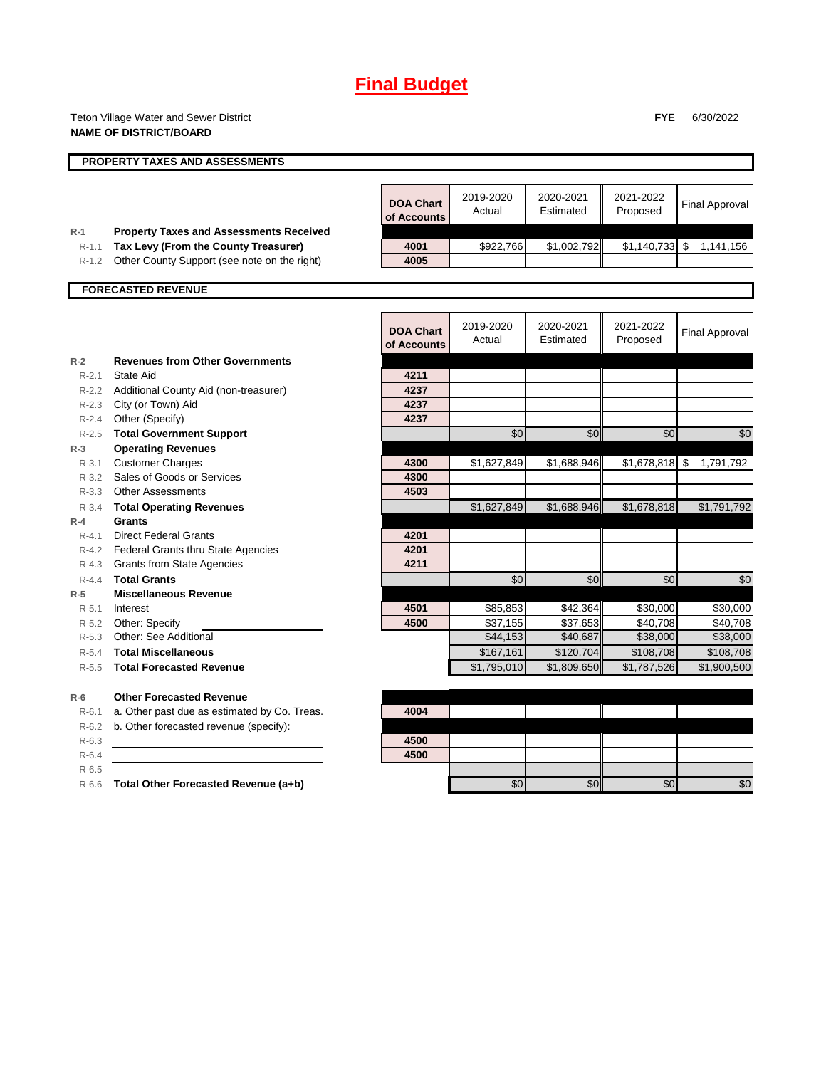# **Final Budget**

|                    | Teton Village Water and Sewer District                                                 |                                 |                     |                        | <b>FYE</b>            | 6/30/2022             |
|--------------------|----------------------------------------------------------------------------------------|---------------------------------|---------------------|------------------------|-----------------------|-----------------------|
|                    | <b>NAME OF DISTRICT/BOARD</b>                                                          |                                 |                     |                        |                       |                       |
|                    |                                                                                        |                                 |                     |                        |                       |                       |
|                    | PROPERTY TAXES AND ASSESSMENTS                                                         |                                 |                     |                        |                       |                       |
|                    |                                                                                        |                                 |                     |                        |                       |                       |
|                    |                                                                                        |                                 | 2019-2020           | 2020-2021              | 2021-2022             |                       |
|                    |                                                                                        | <b>DOA Chart</b><br>of Accounts | Actual              | Estimated              | Proposed              | <b>Final Approval</b> |
|                    |                                                                                        |                                 |                     |                        |                       |                       |
| $R-1$<br>$R-1.1$   | <b>Property Taxes and Assessments Received</b><br>Tax Levy (From the County Treasurer) | 4001                            | \$922,766           | \$1,002,792            | $$1,140,733$ \$       | 1,141,156             |
| $R-1.2$            | Other County Support (see note on the right)                                           | 4005                            |                     |                        |                       |                       |
|                    |                                                                                        |                                 |                     |                        |                       |                       |
|                    | <b>FORECASTED REVENUE</b>                                                              |                                 |                     |                        |                       |                       |
|                    |                                                                                        |                                 |                     |                        |                       |                       |
|                    |                                                                                        |                                 |                     |                        |                       |                       |
|                    |                                                                                        | <b>DOA Chart</b>                | 2019-2020<br>Actual | 2020-2021<br>Estimated | 2021-2022<br>Proposed | <b>Final Approval</b> |
|                    |                                                                                        | of Accounts                     |                     |                        |                       |                       |
| $R-2$              | <b>Revenues from Other Governments</b>                                                 |                                 |                     |                        |                       |                       |
| $R-2.1$            | State Aid                                                                              | 4211                            |                     |                        |                       |                       |
|                    | R-2.2 Additional County Aid (non-treasurer)                                            | 4237                            |                     |                        |                       |                       |
|                    | R-2.3 City (or Town) Aid                                                               | 4237                            |                     |                        |                       |                       |
|                    | R-2.4 Other (Specify)                                                                  | 4237                            |                     |                        |                       |                       |
| $R-2.5$            | <b>Total Government Support</b>                                                        |                                 | \$0                 | \$0                    | \$0                   | \$0                   |
| $R-3$              | <b>Operating Revenues</b>                                                              |                                 |                     |                        |                       |                       |
| $R - 3.1$          | <b>Customer Charges</b>                                                                | 4300                            | \$1,627,849         | \$1,688,946            | $$1,678,818$ \$       | 1,791,792             |
| $R - 3.2$          | Sales of Goods or Services                                                             | 4300                            |                     |                        |                       |                       |
|                    | R-3.3 Other Assessments                                                                | 4503                            |                     |                        |                       |                       |
| $R - 3.4$          | <b>Total Operating Revenues</b>                                                        |                                 | \$1,627,849         | \$1,688,946            | \$1,678,818           | \$1,791,792           |
| $R-4$              | <b>Grants</b>                                                                          |                                 |                     |                        |                       |                       |
| $R - 4.1$          | <b>Direct Federal Grants</b>                                                           | 4201                            |                     |                        |                       |                       |
|                    | R-4.2 Federal Grants thru State Agencies                                               | 4201                            |                     |                        |                       |                       |
|                    | R-4.3 Grants from State Agencies                                                       | 4211                            |                     |                        |                       |                       |
| $R - 4.4$          | <b>Total Grants</b>                                                                    |                                 | \$0                 | \$0                    | \$0                   | \$0                   |
| $R-5$              | <b>Miscellaneous Revenue</b>                                                           |                                 |                     |                        |                       |                       |
| $R - 5.1$          | Interest                                                                               | 4501                            | \$85,853            | \$42,364               | \$30,000              | \$30,000              |
| R-5.2              | Other: Specify                                                                         | 4500                            | \$37,155            | \$37,653               | \$40,708              | \$40,708              |
|                    | R-5.3 Other: See Additional                                                            |                                 | \$44,153            | \$40,687               | \$38,000              | \$38,000              |
| $R - 5.4$          | <b>Total Miscellaneous</b>                                                             |                                 | \$167,161           | \$120.704              | \$108,708             | \$108,708             |
| $R - 5.5$          | <b>Total Forecasted Revenue</b>                                                        |                                 | \$1,795,010         | \$1,809,650            | \$1,787,526           | \$1,900,500           |
|                    | <b>Other Forecasted Revenue</b>                                                        |                                 |                     |                        |                       |                       |
| $R-6$              | a. Other past due as estimated by Co. Treas.                                           | 4004                            |                     |                        |                       |                       |
| $R-6.1$<br>$R-6.2$ | b. Other forecasted revenue (specify):                                                 |                                 |                     |                        |                       |                       |
| $R-6.3$            |                                                                                        | 4500                            |                     |                        |                       |                       |
| $R-6.4$            |                                                                                        | 4500                            |                     |                        |                       |                       |
| $R-6.5$            |                                                                                        |                                 |                     |                        |                       |                       |
| $R-6.6$            | Total Other Forecasted Revenue (a+b)                                                   |                                 | \$0                 | \$0                    | \$0                   | \$0                   |
|                    |                                                                                        |                                 |                     |                        |                       |                       |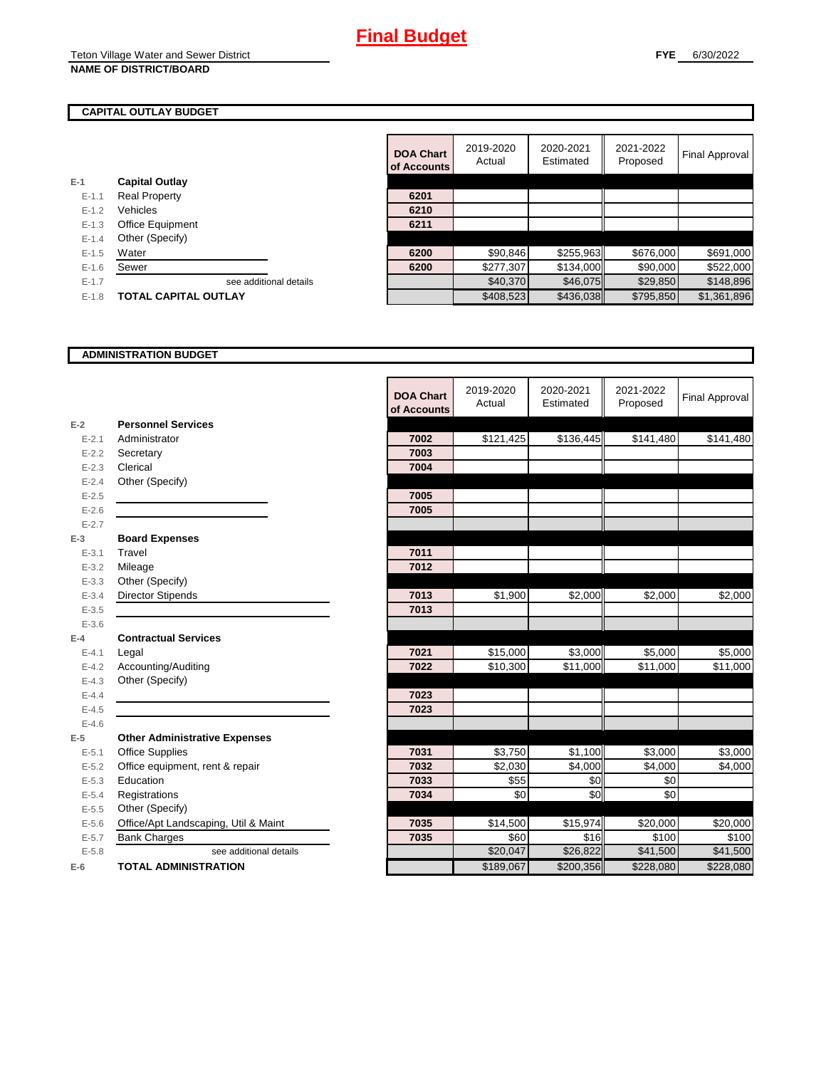#### **CAPITAL OUTLAY BUDGET**

|           |                         | UI ACCOL |
|-----------|-------------------------|----------|
| $E-1$     | <b>Capital Outlay</b>   |          |
| $E - 1.1$ | <b>Real Property</b>    | 6201     |
| $E - 1.2$ | Vehicles                | 6210     |
| $E-1.3$   | <b>Office Equipment</b> | 6211     |
| $E - 1.4$ | Other (Specify)         |          |
| $E-1.5$   | Water                   | 6200     |
| $E-1.6$   | Sewer                   | 6200     |
| $E-1.7$   | see additional details  |          |
|           |                         |          |

| E-1.8 <b>TOTAL CAPITAL OUTLAY</b> |  |
|-----------------------------------|--|

|           |                             | <b>DOA Chart</b><br>of Accounts | 2019-2020<br>Actual | 2020-2021<br>Estimated | 2021-2022<br>Proposed | Final Approval |
|-----------|-----------------------------|---------------------------------|---------------------|------------------------|-----------------------|----------------|
|           | <b>Capital Outlay</b>       |                                 |                     |                        |                       |                |
| $E - 1.1$ | <b>Real Property</b>        | 6201                            |                     |                        |                       |                |
| $E - 1.2$ | Vehicles                    | 6210                            |                     |                        |                       |                |
| $E - 1.3$ | Office Equipment            | 6211                            |                     |                        |                       |                |
| $E - 1.4$ | Other (Specify)             |                                 |                     |                        |                       |                |
| $E-1.5$   | Water                       | 6200                            | \$90,846            | \$255,963              | \$676,000             | \$691,000      |
| $E - 1.6$ | Sewer                       | 6200                            | \$277,307           | \$134,000              | \$90,000              | \$522,000      |
| $E-1.7$   | see additional details      |                                 | \$40,370            | \$46,075               | \$29,850              | \$148,896      |
| $E-1.8$   | <b>TOTAL CAPITAL OUTLAY</b> |                                 | \$408,523           | \$436,038              | \$795,850             | \$1,361,896    |

#### **ADMINISTRATION BUDGET**

|           |                                      | <b>DOA Chart</b><br>of Accounts | 2019-2020<br>Actual | 2020-2021<br>Estimated | 2021-2022<br>Proposed | <b>Final Approval</b> |
|-----------|--------------------------------------|---------------------------------|---------------------|------------------------|-----------------------|-----------------------|
| $E-2$     | <b>Personnel Services</b>            |                                 |                     |                        |                       |                       |
| $E - 2.1$ | Administrator                        | 7002                            | \$121,425           | \$136,445              | \$141,480             | \$141,480             |
| $E - 2.2$ | Secretary                            | 7003                            |                     |                        |                       |                       |
| $E - 2.3$ | Clerical                             | 7004                            |                     |                        |                       |                       |
| $E - 2.4$ | Other (Specify)                      |                                 |                     |                        |                       |                       |
| $E - 2.5$ |                                      | 7005                            |                     |                        |                       |                       |
| $E - 2.6$ |                                      | 7005                            |                     |                        |                       |                       |
| $E - 2.7$ |                                      |                                 |                     |                        |                       |                       |
| $E-3$     | <b>Board Expenses</b>                |                                 |                     |                        |                       |                       |
| $E - 3.1$ | Travel                               | 7011                            |                     |                        |                       |                       |
| $E - 3.2$ | Mileage                              | 7012                            |                     |                        |                       |                       |
| $E - 3.3$ | Other (Specify)                      |                                 |                     |                        |                       |                       |
| $E - 3.4$ | <b>Director Stipends</b>             | 7013                            | \$1,900             | \$2,000                | \$2,000               | \$2,000               |
| $E - 3.5$ |                                      | 7013                            |                     |                        |                       |                       |
| $E - 3.6$ |                                      |                                 |                     |                        |                       |                       |
| $E-4$     | <b>Contractual Services</b>          |                                 |                     |                        |                       |                       |
| $E - 4.1$ | Legal                                | 7021                            | \$15,000            | \$3,000                | \$5,000               | \$5,000               |
| $E - 4.2$ | Accounting/Auditing                  | 7022                            | \$10,300            | \$11,000               | \$11,000              | \$11,000              |
| $E - 4.3$ | Other (Specify)                      |                                 |                     |                        |                       |                       |
| $E-4.4$   |                                      | 7023                            |                     |                        |                       |                       |
| $E-4.5$   |                                      | 7023                            |                     |                        |                       |                       |
| $E - 4.6$ |                                      |                                 |                     |                        |                       |                       |
| $E-5$     | <b>Other Administrative Expenses</b> |                                 |                     |                        |                       |                       |
| $E - 5.1$ | <b>Office Supplies</b>               | 7031                            | \$3,750             | \$1,100                | \$3,000               | \$3,000               |
| $E - 5.2$ | Office equipment, rent & repair      | 7032                            | \$2,030             | \$4,000                | \$4,000               | \$4,000               |
| $E-5.3$   | Education                            | 7033                            | \$55                | \$0                    | \$0                   |                       |
| $E - 5.4$ | Registrations                        | 7034                            | \$0                 | \$0                    | \$0                   |                       |
| $E - 5.5$ | Other (Specify)                      |                                 |                     |                        |                       |                       |
| $E-5.6$   | Office/Apt Landscaping, Util & Maint | 7035                            | \$14,500            | \$15,974               | \$20,000              | \$20,000              |
| $E - 5.7$ | <b>Bank Charges</b>                  | 7035                            | \$60                | \$16                   | \$100                 | \$100                 |
| $E - 5.8$ | see additional details               |                                 | \$20,047            | \$26,822               | \$41,500              | \$41,500              |
| $E-6$     | <b>TOTAL ADMINISTRATION</b>          |                                 | \$189,067           | \$200,356              | \$228,080             | \$228,080             |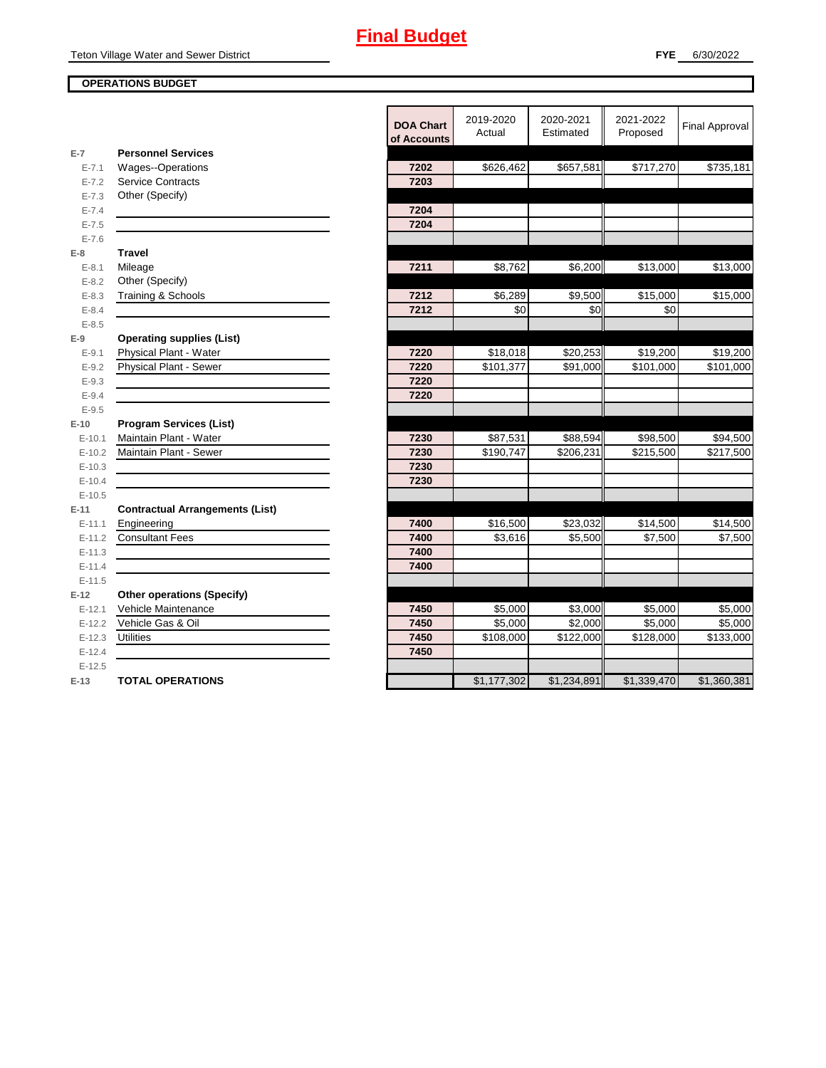### **OPERATIONS BUDGET**

|                        |                                                          | <b>DOA Chart</b><br>of Accounts | 2019-2020<br>Actual | 2020-2021<br>Estimated | 2021-2022<br>Proposed | <b>Final Approval</b> |
|------------------------|----------------------------------------------------------|---------------------------------|---------------------|------------------------|-----------------------|-----------------------|
| $E-7$                  | <b>Personnel Services</b>                                | 7202                            |                     |                        | \$717,270             |                       |
| $E - 7.1$<br>$E - 7.2$ | Wages--Operations<br><b>Service Contracts</b>            | 7203                            | \$626,462           | \$657,581              |                       | \$735,181             |
| $E - 7.3$              | Other (Specify)                                          |                                 |                     |                        |                       |                       |
| $E - 7.4$              |                                                          | 7204                            |                     |                        |                       |                       |
| $E - 7.5$              |                                                          | 7204                            |                     |                        |                       |                       |
| $E - 7.6$              |                                                          |                                 |                     |                        |                       |                       |
| $E-8$                  | <b>Travel</b>                                            |                                 |                     |                        |                       |                       |
| $E - 8.1$              | Mileage                                                  | 7211                            | \$8,762             | \$6,200                | \$13,000              | \$13,000              |
| $E - 8.2$              | Other (Specify)                                          |                                 |                     |                        |                       |                       |
| $E - 8.3$              | Training & Schools                                       | 7212                            | \$6,289             | \$9,500                | \$15,000              | \$15,000              |
| $E - 8.4$              |                                                          | 7212                            | \$0                 | \$0                    | \$0                   |                       |
| $E - 8.5$              |                                                          |                                 |                     |                        |                       |                       |
| $E-9$                  | <b>Operating supplies (List)</b>                         |                                 |                     |                        |                       |                       |
| $E-9.1$                | Physical Plant - Water                                   | 7220                            | \$18,018            | \$20,253               | \$19,200              | \$19,200              |
| $E - 9.2$              | Physical Plant - Sewer                                   | 7220                            | \$101,377           | \$91,000               | \$101,000             | \$101,000             |
| $E - 9.3$              |                                                          | 7220                            |                     |                        |                       |                       |
| $E - 9.4$              |                                                          | 7220                            |                     |                        |                       |                       |
| $E - 9.5$              |                                                          |                                 |                     |                        |                       |                       |
| $E-10$                 | <b>Program Services (List)</b>                           |                                 |                     |                        |                       |                       |
| $E-10.1$               | Maintain Plant - Water                                   | 7230                            | \$87,531            | \$88,594               | \$98,500              | \$94,500              |
| $E-10.2$               | Maintain Plant - Sewer                                   | 7230                            | \$190,747           | \$206,231              | \$215,500             | \$217,500             |
| $E-10.3$               |                                                          | 7230                            |                     |                        |                       |                       |
| $E-10.4$               |                                                          | 7230                            |                     |                        |                       |                       |
| $E-10.5$               |                                                          |                                 |                     |                        |                       |                       |
| $E-11$                 | <b>Contractual Arrangements (List)</b>                   |                                 |                     |                        |                       |                       |
| $E-11.1$               | Engineering                                              | 7400                            | \$16,500            | \$23,032               | \$14,500              | \$14,500              |
| $E-11.2$               | <b>Consultant Fees</b>                                   | 7400                            | \$3,616             | \$5,500                | \$7,500               | \$7,500               |
| $E-11.3$               |                                                          | 7400                            |                     |                        |                       |                       |
| $E - 11.4$             |                                                          | 7400                            |                     |                        |                       |                       |
| $E-11.5$               |                                                          |                                 |                     |                        |                       |                       |
| $E-12$                 | <b>Other operations (Specify)</b><br>Vehicle Maintenance | 7450                            |                     | \$3,000                |                       |                       |
| $E-12.1$<br>$E-12.2$   | Vehicle Gas & Oil                                        | 7450                            | \$5,000<br>\$5,000  | \$2,000                | \$5,000<br>\$5,000    | \$5,000<br>\$5,000    |
| $E-12.3$               | <b>Utilities</b>                                         | 7450                            | \$108,000           | \$122,000              | \$128,000             | \$133,000             |
| $E-12.4$               |                                                          | 7450                            |                     |                        |                       |                       |
| $E-12.5$               |                                                          |                                 |                     |                        |                       |                       |
| $E-13$                 | <b>TOTAL OPERATIONS</b>                                  |                                 | \$1,177,302         | \$1,234,891            | \$1,339,470           | \$1,360,381           |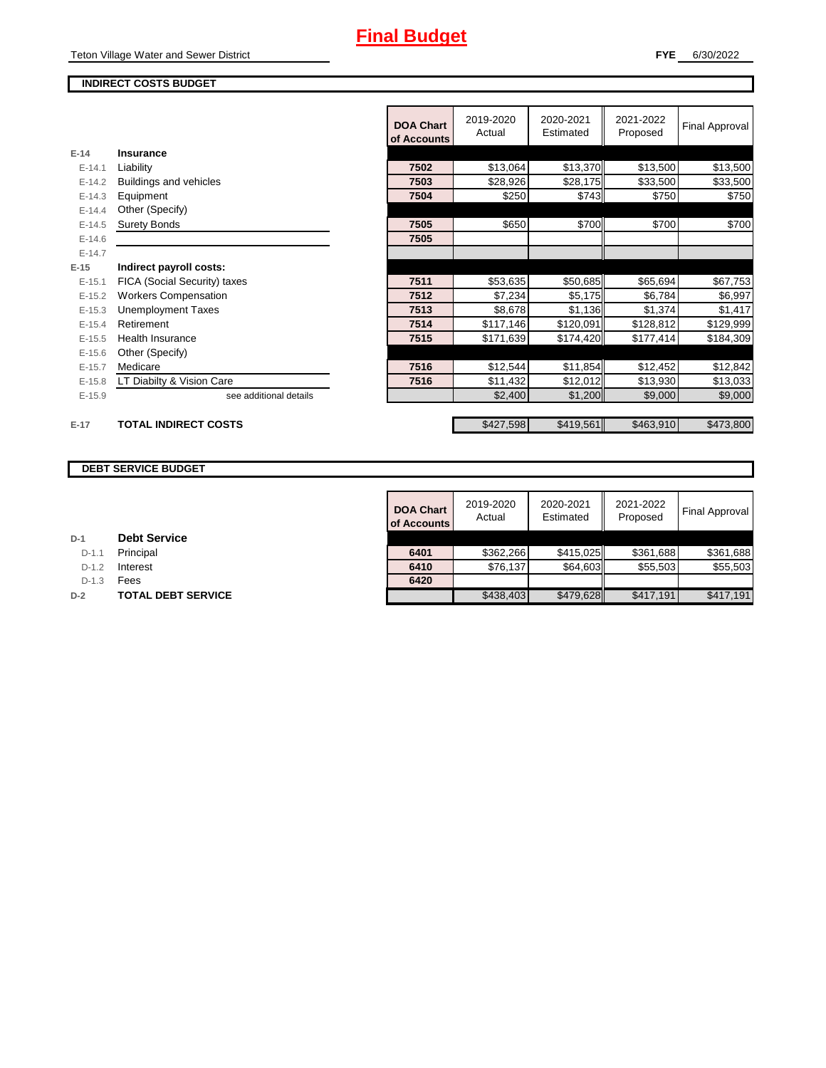### **INDIRECT COSTS BUDGET**

|          |                              | <b>DOA Chart</b><br>of Accounts | 2019-2020<br>Actual | 2020-2021<br>Estimated | 2021-2022<br>Proposed | Final Approval |
|----------|------------------------------|---------------------------------|---------------------|------------------------|-----------------------|----------------|
| $E-14$   | Insurance                    |                                 |                     |                        |                       |                |
| $E-14.1$ | Liability                    | 7502                            | \$13,064            | \$13,370               | \$13,500              | \$13,500       |
| $E-14.2$ | Buildings and vehicles       | 7503                            | \$28,926            | \$28,175               | \$33,500              | \$33,500       |
| $E-14.3$ | Equipment                    | 7504                            | \$250               | \$743                  | \$750                 | \$750          |
| $E-14.4$ | Other (Specify)              |                                 |                     |                        |                       |                |
| $E-14.5$ | <b>Surety Bonds</b>          | 7505                            | \$650               | \$700                  | \$700                 | \$700          |
| $E-14.6$ |                              | 7505                            |                     |                        |                       |                |
| $E-14.7$ |                              |                                 |                     |                        |                       |                |
| $E-15$   | Indirect payroll costs:      |                                 |                     |                        |                       |                |
| $E-15.1$ | FICA (Social Security) taxes | 7511                            | \$53,635            | \$50,685               | \$65,694              | \$67,753       |
| $E-15.2$ | <b>Workers Compensation</b>  | 7512                            | \$7,234             | \$5,175                | \$6,784               | \$6,997        |
| $E-15.3$ | <b>Unemployment Taxes</b>    | 7513                            | \$8,678             | \$1,136                | \$1,374               | \$1,417        |
| $E-15.4$ | Retirement                   | 7514                            | \$117,146           | \$120,091              | \$128,812             | \$129,999      |
| $E-15.5$ | <b>Health Insurance</b>      | 7515                            | \$171,639           | \$174,420              | \$177,414             | \$184,309      |
| $E-15.6$ | Other (Specify)              |                                 |                     |                        |                       |                |
| $E-15.7$ | Medicare                     | 7516                            | \$12,544            | \$11,854               | \$12,452              | \$12,842       |
| $E-15.8$ | LT Diabilty & Vision Care    | 7516                            | \$11,432            | \$12,012               | \$13,930              | \$13,033       |
| $E-15.9$ | see additional details       |                                 | \$2,400             | \$1,200                | \$9,000               | \$9,000        |
|          |                              |                                 |                     |                        |                       |                |
| $E-17$   | <b>TOTAL INDIRECT COSTS</b>  |                                 | \$427,598           | \$419,561              | \$463,910             | \$473,800      |

### **DEBT SERVICE BUDGET**

| <b>DOA Chart</b><br>of Accounts | 2019-2020<br>Actual | 2020-2021<br>Estimated | 2021-2022<br>Proposed | <b>Final Approval</b> |
|---------------------------------|---------------------|------------------------|-----------------------|-----------------------|
|                                 |                     |                        |                       |                       |
| 6401                            | \$362,266           | \$415,025              | \$361,688             | \$361,688             |
| 6410                            | \$76,137            | \$64,603               | \$55,503              | \$55,503              |
| 6420                            |                     |                        |                       |                       |
|                                 | \$438,403           | \$479,628              | \$417,191             | \$417,191             |

| D-1 |  | <b>Debt Service</b> |  |
|-----|--|---------------------|--|
|-----|--|---------------------|--|

**D-1.1 Principal** 

**D-1.2 Interest** 

D-1.3 **Fees** 

**D-2 TOTAL DEBT SERVICE**